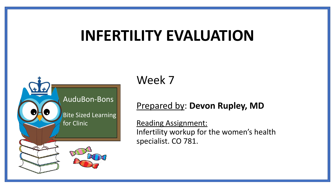# **INFERTILITY EVALUATION**



Week 7

#### Prepared by: **Devon Rupley, MD**

Reading Assignment: Infertility workup for the women's health specialist. CO 781.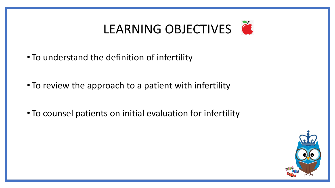# LEARNING OBJECTIVES

- To understand the definition of infertility
- To review the approach to a patient with infertility
- To counsel patients on initial evaluation for infertility

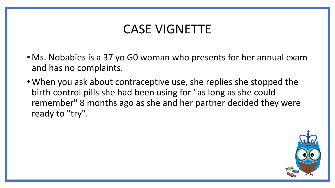### CASE VIGNETTE

- Ms. Nobabies is a 37 yo G0 woman who presents for her annual exam and has no complaints.
- •When you ask about contraceptive use, she replies she stopped the birth control pills she had been using for "as long as she could remember" 8 months ago as she and her partner decided they were ready to "try".

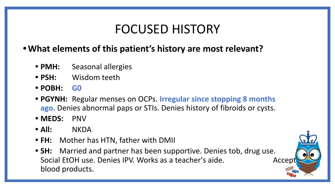### FOCUSED HISTORY

#### **•What elements of this patient's history are most relevant?**

- **• PMH:** Seasonal allergies
- **• PSH:** Wisdom teeth
- **• POBH: G0**
- **• PGYNH:** Regular menses on OCPs. **Irregular since stopping 8 months ago.** Denies abnormal paps or STIs. Denies history of fibroids or cysts.
- **• MEDS:** PNV
- **• All:** NKDA
- **• FH:** Mother has HTN, father with DMII
- **• SH:** Married and partner has been supportive. Denies tob, drug use. Social EtOH use. Denies IPV. Works as a teacher's aide. Accept blood products.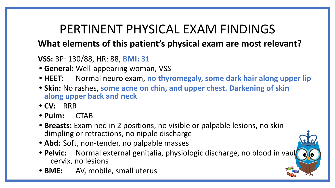## PERTINENT PHYSICAL EXAM FINDINGS

### **What elements of this patient's physical exam are most relevant?**

#### **VSS:** BP: 130/88, HR: 88, **BMI: 31**

- **• General:** Well-appearing woman, VSS
- **• HEET:** Normal neuro exam, **no thyromegaly, some dark hair along upper lip**
- **• Skin:** No rashes, **some acne on chin, and upper chest. Darkening of skin along upper back and neck**
- **• CV:** RRR
- **• Pulm:** CTAB
- **• Breasts:** Examined in 2 positions, no visible or palpable lesions, no skin dimpling or retractions, no nipple discharge
- **• Abd:** Soft, non-tender, no palpable masses
- **Pelvic:** Normal external genitalia, physiologic discharge, no blood in vaul cervix, no lesions
- **• BME:** AV, mobile, small uterus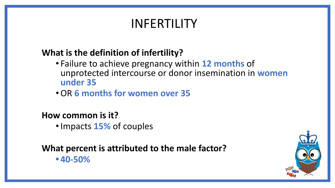### INFERTILITY

### **What is the definition of infertility?**

- Failure to achieve pregnancy within **12 months** of unprotected intercourse or donor insemination in **women under 35**
- •OR **6 months for women over 35**

#### **How common is it?**

•Impacts **15%** of couples

**What percent is attributed to the male factor? • 40-50%**

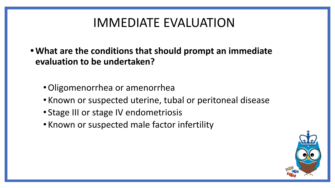### IMMEDIATE EVALUATION

- **•What are the conditions that should prompt an immediate evaluation to be undertaken?**
	- •Oligomenorrhea or amenorrhea
	- Known or suspected uterine, tubal or peritoneal disease
	- Stage III or stage IV endometriosis
	- Known or suspected male factor infertility

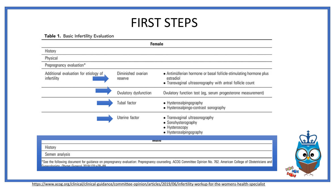### FIRST STEPS

#### Table 1. Basic Infertility Evaluation

| <b>Female</b>                                        |                               |                                                                                                                                                                    |
|------------------------------------------------------|-------------------------------|--------------------------------------------------------------------------------------------------------------------------------------------------------------------|
| History                                              |                               |                                                                                                                                                                    |
| Physical                                             |                               |                                                                                                                                                                    |
| Prepregnancy evaluation*                             |                               |                                                                                                                                                                    |
| Additional evaluation for etiology of<br>infertility | Diminished ovarian<br>reserve | • Antimüllerian hormone or basal follicle-stimulating hormone plus<br>estradiol<br>• Transvaginal ultrasonography with antral follicle count                       |
|                                                      | Ovulatory dysfunction         | Ovulatory function test (eg, serum progesterone measurement)                                                                                                       |
|                                                      | Tubal factor                  | • Hysterosalpingography<br>• Hysterosalpingo-contrast sonography                                                                                                   |
|                                                      | Uterine factor                | • Transvaginal ultrasonography<br>• Sonohysterography<br>• Hysteroscopy<br>• Hysterosalpingography                                                                 |
|                                                      |                               | <b>IVIGIG</b>                                                                                                                                                      |
| History                                              |                               |                                                                                                                                                                    |
| Semen analysis                                       |                               |                                                                                                                                                                    |
| Gynecologists Obstet Gynecol 2019:133:e78-89         |                               | See the following document for guidance on prepregnancy evaluation: Prepregnancy counseling. ACOG Committee Opinion No. 762. American College of Obstetricians and |

https://www.acog.org/clinical/clinical-guidance/committee-opinion/articles/2019/06/infertility-workup-for-the-womens-health-specialist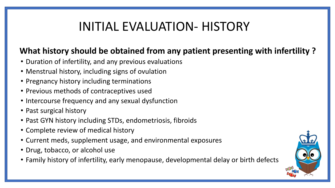### INITIAL EVALUATION- HISTORY

#### **What history should be obtained from any patient presenting with infertility ?**

- Duration of infertility, and any previous evaluations
- Menstrual history, including signs of ovulation
- Pregnancy history including terminations
- Previous methods of contraceptives used
- Intercourse frequency and any sexual dysfunction
- Past surgical history
- Past GYN history including STDs, endometriosis, fibroids
- Complete review of medical history
- Current meds, supplement usage, and environmental exposures
- Drug, tobacco, or alcohol use
- Family history of infertility, early menopause, developmental delay or birth defects

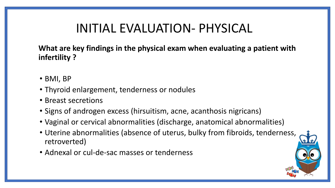### INITIAL EVALUATION- PHYSICAL

**What are key findings in the physical exam when evaluating a patient with infertility ?**

- BMI, BP
- Thyroid enlargement, tenderness or nodules
- Breast secretions
- Signs of androgen excess (hirsuitism, acne, acanthosis nigricans)
- Vaginal or cervical abnormalities (discharge, anatomical abnormalities)
- Uterine abnormalities (absence of uterus, bulky from fibroids, tenderness, retroverted)
- Adnexal or cul-de-sac masses or tenderness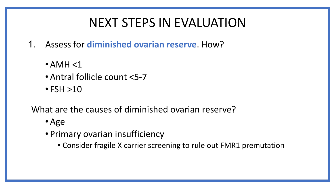### NEXT STEPS IN EVALUATION

- 1. Assess for **diminished ovarian reserve**. How?
	- $\bullet$  AMH  $<$ 1
	- •Antral follicle count <5-7
	- $\cdot$  FSH  $>10$

What are the causes of diminished ovarian reserve?

- •Age
- Primary ovarian insufficiency
	- Consider fragile X carrier screening to rule out FMR1 premutation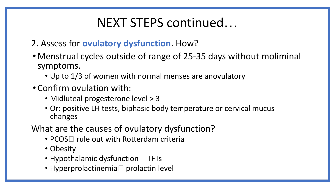### NEXT STEPS continued…

- 2. Assess for **ovulatory dysfunction**. How?
- Menstrual cycles outside of range of 25-35 days without moliminal symptoms.
	- Up to 1/3 of women with normal menses are anovulatory
- Confirm ovulation with:
	- Midluteal progesterone level > 3
	- Or: positive LH tests, biphasic body temperature or cervical mucus changes
- What are the causes of ovulatory dysfunction?
	- PCOS $\Box$  rule out with Rotterdam criteria
	- Obesity
	- Hypothalamic dysfunction  $\Box$  TFTs
	- Hyperprolactinemia  $\Box$  prolactin level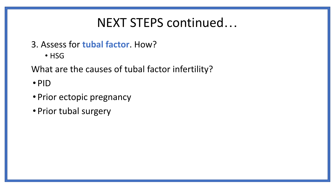### NEXT STEPS continued…

3. Assess for **tubal factor**. How?

• HSG

What are the causes of tubal factor infertility?

• PID

- Prior ectopic pregnancy
- Prior tubal surgery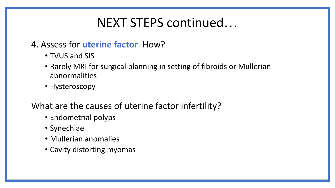### NEXT STEPS continued…

#### 4. Assess for **uterine factor**. How?

- TVUS and SIS
- Rarely MRI for surgical planning in setting of fibroids or Mullerian abnormalities
- Hysteroscopy

What are the causes of uterine factor infertility?

- Endometrial polyps
- Synechiae
- Mullerian anomalies
- Cavity distorting myomas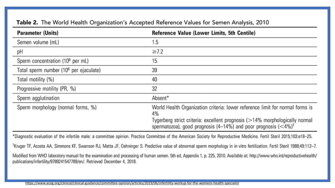| <b>Parameter (Units)</b>                           | Reference Value (Lower Limits, 5th Centile)                                                                                                                                                                                                                        |  |
|----------------------------------------------------|--------------------------------------------------------------------------------------------------------------------------------------------------------------------------------------------------------------------------------------------------------------------|--|
| Semen volume (mL)                                  | 1.5                                                                                                                                                                                                                                                                |  |
| рH                                                 | $\geq 7.2$                                                                                                                                                                                                                                                         |  |
| Sperm concentration (10 <sup>6</sup> per mL)       | 15                                                                                                                                                                                                                                                                 |  |
| Total sperm number (10 <sup>6</sup> per ejaculate) | 39                                                                                                                                                                                                                                                                 |  |
| Total motility (%)                                 | 40                                                                                                                                                                                                                                                                 |  |
| Progressive motility (PR, %)                       | 32                                                                                                                                                                                                                                                                 |  |
| Sperm agglutination                                | Absent*                                                                                                                                                                                                                                                            |  |
| Sperm morphology (normal forms, %)                 | World Health Organization criteria: lower reference limit for normal forms is<br>4%<br>Tygerberg strict criteria: excellent prognosis (>14% morphologically normal<br>spermatozoa), good prognosis (4-14%) and poor prognosis ( $\langle 4\% \rangle$ <sup>†</sup> |  |

#### Table 2. The World Health Organization's Accepted Reference Values for Semen Analysis, 2010

\*Diagnostic evaluation of the infertile male: a committee opinion. Practice Committee of the American Society for Reproductive Medicine. Fertil Steril 2015;103:e18-25.

<sup>†</sup>Kruger TF, Acosta AA, Simmons KF, Swanson RJ, Matta JF, Oehninger S. Predictive value of abnormal sperm morphology in in vitro fertilization. Fertil Steril 1988;49:112-7.

Modified from WHO laboratory manual for the examination and processing of human semen. 5th ed, Appendix 1, p. 225, 2010. Available at: http://www.who.int/reproductivehealth/<br>publications/infertility/9789241547789/en/. Retr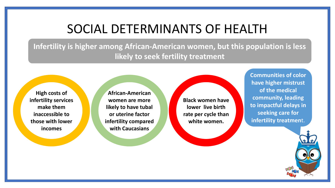### SOCIAL DETERMINANTS OF HEALTH

**Infertility is higher among African-American women, but this population is less likely to seek fertility treatment** 

**High costs of infertility services make them inaccessible to those with lower incomes**

**African-American women are more likely to have tubal or uterine factor infertility compared with Caucasians** 

**Black women have lower live birth rate per cycle than white women.**

**Communities of color have higher mistrust of the medical community, leading to impactful delays in seeking care for infertility treatmen**t.

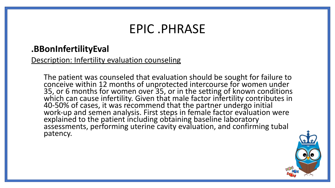### EPIC .PHRASE

#### **.BBonInfertilityEval**

Description: Infertility evaluation counseling

The patient was counseled that evaluation should be sought for failure to conceive within 12 months of unprotected intercourse for women under 35, or 6 months for women over 35, or in the setting of known conditions which can cause infertility. Given that male factor infertility contributes in 40-50% of cases, it was recommend that the partner undergo initial work-up and semen analysis. First steps in female factor evaluation were explained to the patient including obtaining baseline laboratory assessments, performing uterine cavity evaluation, and confirming tubal patency.

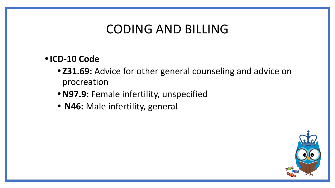### CODING AND BILLING

#### **•ICD-10 Code**

- **• Z31.69:** Advice for other general counseling and advice on procreation
- **•N97.9:** Female infertility, unspecified
- **• N46:** Male infertility, general